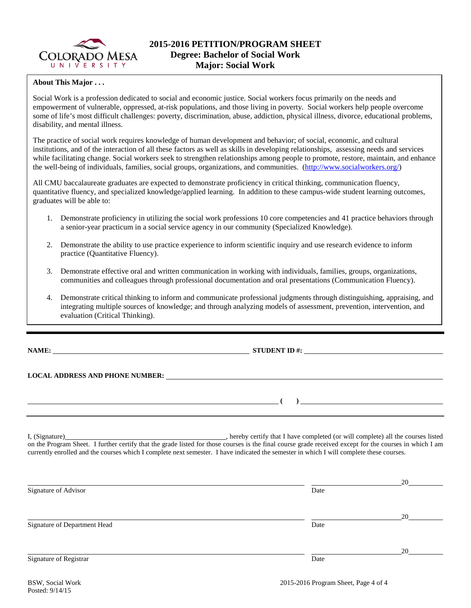

## **About This Major . . .**

Social Work is a profession dedicated to social and economic justice. Social workers focus primarily on the needs and empowerment of vulnerable, oppressed, at-risk populations, and those living in poverty. Social workers help people overcome some of life's most difficult challenges: poverty, discrimination, abuse, addiction, physical illness, divorce, educational problems, disability, and mental illness.

The practice of social work requires knowledge of human development and behavior; of social, economic, and cultural institutions, and of the interaction of all these factors as well as skills in developing relationships, assessing needs and services while facilitating change. Social workers seek to strengthen relationships among people to promote, restore, maintain, and enhance the well-being of individuals, families, social groups, organizations, and communities. [\(http://www.socialworkers.org/\)](http://www.socialworkers.org/)

All CMU baccalaureate graduates are expected to demonstrate proficiency in critical thinking, communication fluency, quantitative fluency, and specialized knowledge/applied learning. In addition to these campus-wide student learning outcomes, graduates will be able to:

- 1. Demonstrate proficiency in utilizing the social work professions 10 core competencies and 41 practice behaviors through a senior-year practicum in a social service agency in our community (Specialized Knowledge).
- 2. Demonstrate the ability to use practice experience to inform scientific inquiry and use research evidence to inform practice (Quantitative Fluency).
- 3. Demonstrate effective oral and written communication in working with individuals, families, groups, organizations, communities and colleagues through professional documentation and oral presentations (Communication Fluency).
- 4. Demonstrate critical thinking to inform and communicate professional judgments through distinguishing, appraising, and integrating multiple sources of knowledge; and through analyzing models of assessment, prevention, intervention, and evaluation (Critical Thinking).

**NAME: STUDENT ID #: STUDENT ID #: STUDENT ID #: STUDENT ID #: STUDENT ID #: STUDENT ID #: STUDENT ID #: STUDENT ID #: STUDENT ID #: STUDENT ID #: STUDENT ID #: STUDENT ID #: STUDENT ID #: STUDE** 

**LOCAL ADDRESS AND PHONE NUMBER:**

I, (Signature) , hereby certify that I have completed (or will complete) all the courses listed on the Program Sheet. I further certify that the grade listed for those courses is the final course grade received except for the courses in which I am currently enrolled and the courses which I complete next semester. I have indicated the semester in which I will complete these courses.

|      | 20 |
|------|----|
| Date |    |
|      |    |
|      | 20 |
| Date |    |
|      | 20 |
| Date |    |
|      |    |

**( )**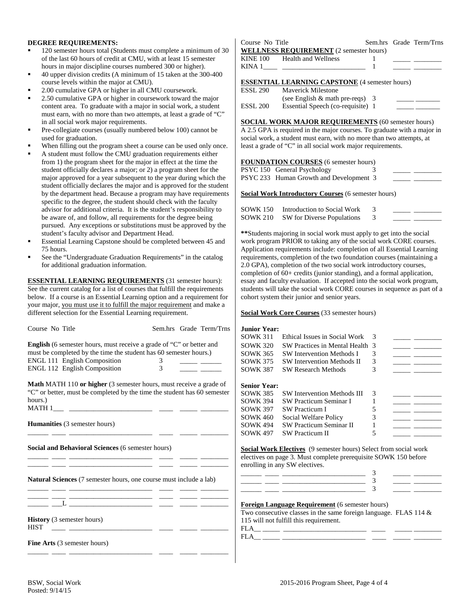#### **DEGREE REQUIREMENTS:**

- 120 semester hours total (Students must complete a minimum of 30 of the last 60 hours of credit at CMU, with at least 15 semester hours in major discipline courses numbered 300 or higher).
- 40 upper division credits (A minimum of 15 taken at the 300-400 course levels within the major at CMU).
- 2.00 cumulative GPA or higher in all CMU coursework.
- 2.50 cumulative GPA or higher in coursework toward the major content area. To graduate with a major in social work, a student must earn, with no more than two attempts, at least a grade of "C" in all social work major requirements.
- Pre-collegiate courses (usually numbered below 100) cannot be used for graduation.
- When filling out the program sheet a course can be used only once.
- A student must follow the CMU graduation requirements either from 1) the program sheet for the major in effect at the time the student officially declares a major; or 2) a program sheet for the major approved for a year subsequent to the year during which the student officially declares the major and is approved for the student by the department head. Because a program may have requirements specific to the degree, the student should check with the faculty advisor for additional criteria. It is the student's responsibility to be aware of, and follow, all requirements for the degree being pursued. Any exceptions or substitutions must be approved by the student's faculty advisor and Department Head.
- Essential Learning Capstone should be completed between 45 and 75 hours.
- See the "Undergraduate Graduation Requirements" in the catalog for additional graduation information.

**ESSENTIAL LEARNING REQUIREMENTS** (31 semester hours): See the current catalog for a list of courses that fulfill the requirements below. If a course is an Essential Learning option and a requirement for your major, you must use it to fulfill the major requirement and make a different selection for the Essential Learning requirement.

| Course No Title                                                                                             |                | Sem.hrs Grade Term/Trns | <b>Junior Year:</b> |                                                                                                                                                                       |               |                                                                                                                                                                                                                                                                                                                                                                                                                                                                            |
|-------------------------------------------------------------------------------------------------------------|----------------|-------------------------|---------------------|-----------------------------------------------------------------------------------------------------------------------------------------------------------------------|---------------|----------------------------------------------------------------------------------------------------------------------------------------------------------------------------------------------------------------------------------------------------------------------------------------------------------------------------------------------------------------------------------------------------------------------------------------------------------------------------|
|                                                                                                             |                |                         | <b>SOWK 311</b>     | Ethical Issues in Social Work                                                                                                                                         | $\mathcal{R}$ |                                                                                                                                                                                                                                                                                                                                                                                                                                                                            |
| <b>English</b> (6 semester hours, must receive a grade of "C" or better and                                 |                |                         | <b>SOWK 320</b>     | SW Practices in Mental Health 3                                                                                                                                       |               | $\overline{\phantom{a}}$                                                                                                                                                                                                                                                                                                                                                                                                                                                   |
| must be completed by the time the student has 60 semester hours.)                                           |                |                         | <b>SOWK 365</b>     | <b>SW Intervention Methods I</b>                                                                                                                                      | 3             | $\begin{tabular}{ll} \multicolumn{2}{c}{\textbf{1.5}} & \multicolumn{2}{c}{\textbf{1.5}}\\ \multicolumn{2}{c}{\textbf{2.5}} & \multicolumn{2}{c}{\textbf{2.5}}\\ \multicolumn{2}{c}{\textbf{3.5}} & \multicolumn{2}{c}{\textbf{4.5}}\\ \multicolumn{2}{c}{\textbf{5.5}} & \multicolumn{2}{c}{\textbf{6.5}}\\ \multicolumn{2}{c}{\textbf{6.5}} & \multicolumn{2}{c}{\textbf{7.5}}\\ \multicolumn{2}{c}{\textbf{8.5}} & \multicolumn{2}{c}{\textbf{9$                        |
| <b>ENGL 111 English Composition</b>                                                                         | $3^{\circ}$    |                         | <b>SOWK 375</b>     | <b>SW Intervention Methods II</b>                                                                                                                                     | 3             |                                                                                                                                                                                                                                                                                                                                                                                                                                                                            |
| ENGL 112 English Composition                                                                                | $\overline{3}$ |                         | <b>SOWK 387</b>     | <b>SW Research Methods</b>                                                                                                                                            | 3             |                                                                                                                                                                                                                                                                                                                                                                                                                                                                            |
| <b>Math MATH 110 or higher</b> (3 semester hours, must receive a grade of                                   |                |                         | <b>Senior Year:</b> |                                                                                                                                                                       |               |                                                                                                                                                                                                                                                                                                                                                                                                                                                                            |
| "C" or better, must be completed by the time the student has 60 semester                                    |                |                         | <b>SOWK 385</b>     | <b>SW Intervention Methods III</b>                                                                                                                                    | 3             |                                                                                                                                                                                                                                                                                                                                                                                                                                                                            |
| hours.)                                                                                                     |                |                         | <b>SOWK 394</b>     | <b>SW Practicum Seminar I</b>                                                                                                                                         |               | $\frac{1}{2} \left( \frac{1}{2} \right) \left( \frac{1}{2} \right) \left( \frac{1}{2} \right) \left( \frac{1}{2} \right) \left( \frac{1}{2} \right) \left( \frac{1}{2} \right) \left( \frac{1}{2} \right) \left( \frac{1}{2} \right) \left( \frac{1}{2} \right) \left( \frac{1}{2} \right) \left( \frac{1}{2} \right) \left( \frac{1}{2} \right) \left( \frac{1}{2} \right) \left( \frac{1}{2} \right) \left( \frac{1}{2} \right) \left( \frac{1}{2} \right) \left( \frac$ |
|                                                                                                             |                |                         | <b>SOWK 397</b>     | <b>SW Practicum I</b>                                                                                                                                                 | 5             | $\frac{1}{2} \left( \frac{1}{2} \right) = \frac{1}{2} \left( \frac{1}{2} \right) = \frac{1}{2} \left( \frac{1}{2} \right) = \frac{1}{2} \left( \frac{1}{2} \right) = \frac{1}{2} \left( \frac{1}{2} \right) = \frac{1}{2} \left( \frac{1}{2} \right) = \frac{1}{2} \left( \frac{1}{2} \right) = \frac{1}{2} \left( \frac{1}{2} \right) = \frac{1}{2} \left( \frac{1}{2} \right) = \frac{1}{2} \left( \frac{1}{2} \right) = \frac{1}{2} \left($                             |
|                                                                                                             |                |                         | <b>SOWK 460</b>     | Social Welfare Policy                                                                                                                                                 | 3             | $\overline{\phantom{a}}$ and $\overline{\phantom{a}}$                                                                                                                                                                                                                                                                                                                                                                                                                      |
| <b>Humanities</b> (3 semester hours)                                                                        |                |                         | <b>SOWK 494</b>     | <b>SW Practicum Seminar II</b>                                                                                                                                        | 1             | $\overline{\phantom{a}}$ . The contract of $\overline{\phantom{a}}$                                                                                                                                                                                                                                                                                                                                                                                                        |
|                                                                                                             |                |                         | <b>SOWK 497</b>     | <b>SW Practicum II</b>                                                                                                                                                | 5             |                                                                                                                                                                                                                                                                                                                                                                                                                                                                            |
| Social and Behavioral Sciences (6 semester hours)<br><u> 22 mart - Johann Barn, martin andrew (b. 1982)</u> |                |                         |                     | Social Work Electives (9 semester hours) Select from social work<br>electives on page 3. Must complete prerequisite SOWK 150 before<br>enrolling in any SW electives. |               |                                                                                                                                                                                                                                                                                                                                                                                                                                                                            |
|                                                                                                             |                |                         |                     |                                                                                                                                                                       |               |                                                                                                                                                                                                                                                                                                                                                                                                                                                                            |
| <b>Natural Sciences</b> (7 semester hours, one course must include a lab)                                   |                |                         |                     |                                                                                                                                                                       |               |                                                                                                                                                                                                                                                                                                                                                                                                                                                                            |
|                                                                                                             |                |                         |                     |                                                                                                                                                                       | $\mathbf{3}$  |                                                                                                                                                                                                                                                                                                                                                                                                                                                                            |
| the property of the control of the control of the control of the control of the control of                  |                |                         |                     | <b>Foreign Language Requirement</b> (6 semester hours)<br>Two consecutive classes in the same foreign language. FLAS 114 $\&$                                         |               |                                                                                                                                                                                                                                                                                                                                                                                                                                                                            |
| History (3 semester hours)                                                                                  |                |                         |                     | 115 will not fulfill this requirement.                                                                                                                                |               |                                                                                                                                                                                                                                                                                                                                                                                                                                                                            |
| <b>HIST</b><br><u> 1989 - Johann Harrison, mars eta monte eta politika</u>                                  |                |                         |                     |                                                                                                                                                                       |               |                                                                                                                                                                                                                                                                                                                                                                                                                                                                            |
|                                                                                                             |                |                         |                     |                                                                                                                                                                       |               |                                                                                                                                                                                                                                                                                                                                                                                                                                                                            |
| <b>Fine Arts</b> (3 semester hours)                                                                         |                |                         |                     |                                                                                                                                                                       |               |                                                                                                                                                                                                                                                                                                                                                                                                                                                                            |

Course No Title Sem.hrs Grade Term/Trns **WELLNESS REQUIREMENT** (2 semester hours) KINE 100 Health and Wellness 1

|          |                                                                                  |  | the control of the control of the control of the control of the control of the control of the control of the control of the control of the control of the control of the control of the control of the control of the control |
|----------|----------------------------------------------------------------------------------|--|-------------------------------------------------------------------------------------------------------------------------------------------------------------------------------------------------------------------------------|
| ________ | ,我们也不会有什么?""我们的人,我们也不会有什么?""我们的人,我们也不会有什么?""我们的人,我们也不会有什么?""我们的人,我们也不会有什么?""我们的人 |  |                                                                                                                                                                                                                               |
|          |                                                                                  |  |                                                                                                                                                                                                                               |
|          |                                                                                  |  |                                                                                                                                                                                                                               |
|          |                                                                                  |  |                                                                                                                                                                                                                               |

#### **ESSENTIAL LEARNING CAPSTONE** (4 semester hours)

| ESSL 290 | <b>Maverick Milestone</b>                                                                                                               |
|----------|-----------------------------------------------------------------------------------------------------------------------------------------|
|          | $(1.1.0)$ $\Gamma_{11}$ $\Gamma_{21}$ $\Gamma_{12}$ $\Gamma_{21}$ $\Gamma_{22}$ $\Gamma_{23}$ $\Gamma_{24}$ $\Gamma_{25}$ $\Gamma_{26}$ |

|          | (see English $\&$ math pre-reqs)  |  |
|----------|-----------------------------------|--|
| ESSL 200 | Essential Speech (co-requisite) 1 |  |

# **SOCIAL WORK MAJOR REQUIREMENTS** (60 semester hours)

A 2.5 GPA is required in the major courses. To graduate with a major in social work, a student must earn, with no more than two attempts, at least a grade of "C" in all social work major requirements.

#### **FOUNDATION COURSES** (6 semester hours)

| PSYC 150 General Psychology             |  |  |
|-----------------------------------------|--|--|
| PSYC 233 Human Growth and Development 3 |  |  |

**Social Work Introductory Courses** (6 semester hours)

| SOWK 150 Introduction to Social Work       |  |
|--------------------------------------------|--|
| <b>SOWK 210</b> SW for Diverse Populations |  |

**\*\***Students majoring in social work must apply to get into the social work program PRIOR to taking any of the social work CORE courses. Application requirements include: completion of all Essential Learning requirements, completion of the two foundation courses (maintaining a 2.0 GPA), completion of the two social work introductory courses, completion of 60+ credits (junior standing), and a formal application, essay and faculty evaluation. If accepted into the social work program, students will take the social work CORE courses in sequence as part of a cohort system their junior and senior years.

#### **Social Work Core Courses** (33 semester hours)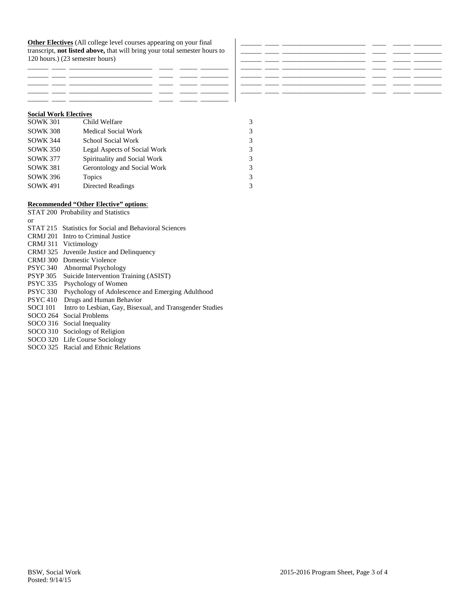**Other Electives** (All college level courses appearing on your final transcript, **not listed above,** that will bring your total semester hours to 120 hours.) (23 semester hours)

| ____ | _______ |
|------|---------|
|      | ____    |
|      |         |
|      | _______ |
|      |         |

## **Social Work Electives**

| <b>SOWK 301</b> | Child Welfare                |   |
|-----------------|------------------------------|---|
| <b>SOWK 308</b> | <b>Medical Social Work</b>   | 3 |
| <b>SOWK 344</b> | School Social Work           | 3 |
| <b>SOWK 350</b> | Legal Aspects of Social Work | 3 |
| <b>SOWK 377</b> | Spirituality and Social Work | 3 |
| <b>SOWK 381</b> | Gerontology and Social Work  | 3 |
| <b>SOWK 396</b> | Topics                       | 3 |
| <b>SOWK 491</b> | Directed Readings            | 3 |

## **Recommended "Other Elective" options**:

|                 | STAT 200 Probability and Statistics                      |
|-----------------|----------------------------------------------------------|
| or              |                                                          |
|                 | STAT 215 Statistics for Social and Behavioral Sciences   |
| CRMJ 201        | Intro to Criminal Justice                                |
| <b>CRMJ</b> 311 | Victimology                                              |
| CRMJ 325        | Juvenile Justice and Delinquency                         |
|                 | CRMJ 300 Domestic Violence                               |
| <b>PSYC 340</b> | Abnormal Psychology                                      |
| <b>PSYP 305</b> | Suicide Intervention Training (ASIST)                    |
| <b>PSYC 335</b> | Psychology of Women                                      |
| <b>PSYC 330</b> | Psychology of Adolescence and Emerging Adulthood         |
| <b>PSYC 410</b> | Drugs and Human Behavior                                 |
| <b>SOCI 101</b> | Intro to Lesbian, Gay, Bisexual, and Transgender Studies |
| SOCO 264        | Social Problems                                          |
| SOCO 316        | Social Inequality                                        |
| SOCO 310        | Sociology of Religion                                    |
|                 | SOCO 320 Life Course Sociology                           |
|                 | SOCO 325 Racial and Ethnic Relations                     |
|                 |                                                          |

\_\_\_\_\_\_ \_\_\_\_ \_\_\_\_\_\_\_\_\_\_\_\_\_\_\_\_\_\_\_\_\_\_\_\_ \_\_\_\_ \_\_\_\_\_ \_\_\_\_\_\_\_\_ \_\_\_\_\_\_ \_\_\_\_ \_\_\_\_\_\_\_\_\_\_\_\_\_\_\_\_\_\_\_\_\_\_\_\_ \_\_\_\_ \_\_\_\_\_ \_\_\_\_\_\_\_\_ \_\_\_\_\_\_ \_\_\_\_ \_\_\_\_\_\_\_\_\_\_\_\_\_\_\_\_\_\_\_\_\_\_\_\_ \_\_\_\_ \_\_\_\_\_ \_\_\_\_\_\_\_\_